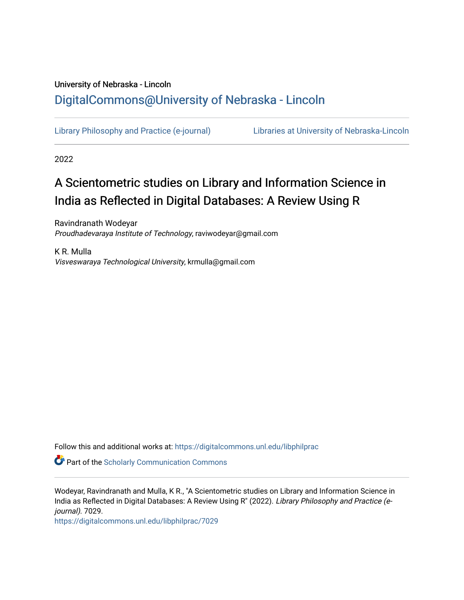# University of Nebraska - Lincoln [DigitalCommons@University of Nebraska - Lincoln](https://digitalcommons.unl.edu/)

[Library Philosophy and Practice \(e-journal\)](https://digitalcommons.unl.edu/libphilprac) [Libraries at University of Nebraska-Lincoln](https://digitalcommons.unl.edu/libraries) 

2022

# A Scientometric studies on Library and Information Science in India as Reflected in Digital Databases: A Review Using R

Ravindranath Wodeyar Proudhadevaraya Institute of Technology, raviwodeyar@gmail.com

K R. Mulla Visveswaraya Technological University, krmulla@gmail.com

Follow this and additional works at: [https://digitalcommons.unl.edu/libphilprac](https://digitalcommons.unl.edu/libphilprac?utm_source=digitalcommons.unl.edu%2Flibphilprac%2F7029&utm_medium=PDF&utm_campaign=PDFCoverPages) 

**Part of the Scholarly Communication Commons** 

Wodeyar, Ravindranath and Mulla, K R., "A Scientometric studies on Library and Information Science in India as Reflected in Digital Databases: A Review Using R" (2022). Library Philosophy and Practice (ejournal). 7029.

[https://digitalcommons.unl.edu/libphilprac/7029](https://digitalcommons.unl.edu/libphilprac/7029?utm_source=digitalcommons.unl.edu%2Flibphilprac%2F7029&utm_medium=PDF&utm_campaign=PDFCoverPages)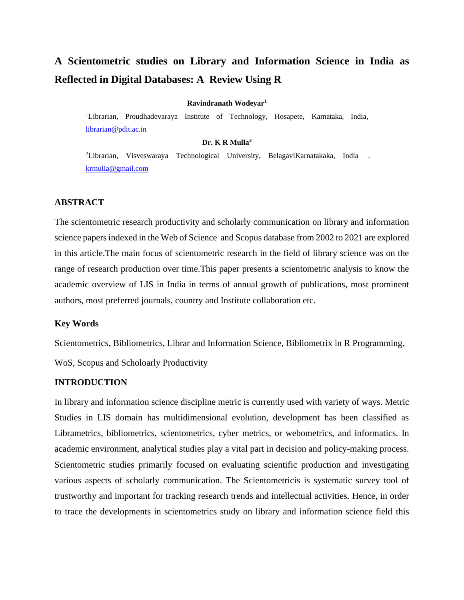# **A Scientometric studies on Library and Information Science in India as Reflected in Digital Databases: A Review Using R**

#### **Ravindranath Wodeyar<sup>1</sup>**

<sup>1</sup>Librarian, Proudhadevaraya Institute of Technology, Hosapete, Karnataka, India, [librarian@pdit.ac.in](mailto:librarian@pdit.ac.in)

#### **Dr. K R Mulla<sup>2</sup>**

<sup>2</sup>Librarian, Visveswaraya Technological University, BelagaviKarnatakaka, India . [krmulla@gmail.com](mailto:krmulla@gmail.com)

## **ABSTRACT**

The scientometric research productivity and scholarly communication on library and information science papers indexed in the Web of Science and Scopus database from 2002 to 2021 are explored in this article.The main focus of scientometric research in the field of library science was on the range of research production over time.This paper presents a scientometric analysis to know the academic overview of LIS in India in terms of annual growth of publications, most prominent authors, most preferred journals, country and Institute collaboration etc.

### **Key Words**

Scientometrics, Bibliometrics, Librar and Information Science, Bibliometrix in R Programming,

WoS, Scopus and Scholoarly Productivity

### **INTRODUCTION**

In library and information science discipline metric is currently used with variety of ways. Metric Studies in LIS domain has multidimensional evolution, development has been classified as Librametrics, bibliometrics, scientometrics, cyber metrics, or webometrics, and informatics. In academic environment, analytical studies play a vital part in decision and policy-making process. Scientometric studies primarily focused on evaluating scientific production and investigating various aspects of scholarly communication. The Scientometricis is systematic survey tool of trustworthy and important for tracking research trends and intellectual activities. Hence, in order to trace the developments in scientometrics study on library and information science field this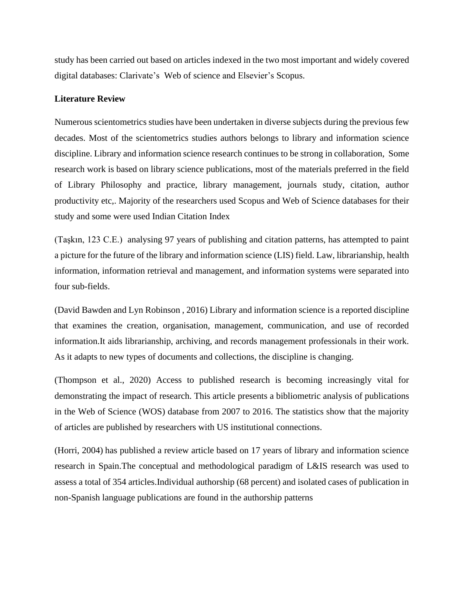study has been carried out based on articles indexed in the two most important and widely covered digital databases: Clarivate's Web of science and Elsevier's Scopus.

# **Literature Review**

Numerous scientometrics studies have been undertaken in diverse subjects during the previous few decades. Most of the scientometrics studies authors belongs to library and information science discipline. Library and information science research continues to be strong in collaboration, Some research work is based on library science publications, most of the materials preferred in the field of Library Philosophy and practice, library management, journals study, citation, author productivity etc,. Majority of the researchers used Scopus and Web of Science databases for their study and some were used Indian Citation Index

(Taşkın, 123 C.E.) analysing 97 years of publishing and citation patterns, has attempted to paint a picture for the future of the library and information science (LIS) field. Law, librarianship, health information, information retrieval and management, and information systems were separated into four sub-fields.

(David Bawden and Lyn Robinson , 2016) Library and information science is a reported discipline that examines the creation, organisation, management, communication, and use of recorded information.It aids librarianship, archiving, and records management professionals in their work. As it adapts to new types of documents and collections, the discipline is changing.

(Thompson et al., 2020) Access to published research is becoming increasingly vital for demonstrating the impact of research. This article presents a bibliometric analysis of publications in the Web of Science (WOS) database from 2007 to 2016. The statistics show that the majority of articles are published by researchers with US institutional connections.

(Horri, 2004) has published a review article based on 17 years of library and information science research in Spain.The conceptual and methodological paradigm of L&IS research was used to assess a total of 354 articles.Individual authorship (68 percent) and isolated cases of publication in non-Spanish language publications are found in the authorship patterns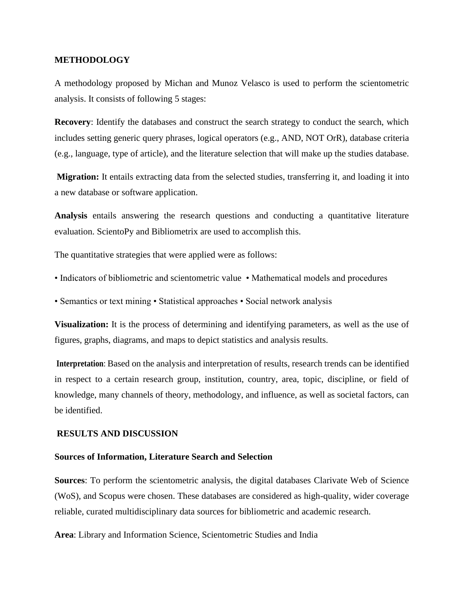# **METHODOLOGY**

A methodology proposed by Michan and Munoz Velasco is used to perform the scientometric analysis. It consists of following 5 stages:

**Recovery**: Identify the databases and construct the search strategy to conduct the search, which includes setting generic query phrases, logical operators (e.g., AND, NOT OrR), database criteria (e.g., language, type of article), and the literature selection that will make up the studies database.

**Migration:** It entails extracting data from the selected studies, transferring it, and loading it into a new database or software application.

**Analysis** entails answering the research questions and conducting a quantitative literature evaluation. ScientoPy and Bibliometrix are used to accomplish this.

The quantitative strategies that were applied were as follows:

- Indicators of bibliometric and scientometric value Mathematical models and procedures
- Semantics or text mining Statistical approaches Social network analysis

**Visualization:** It is the process of determining and identifying parameters, as well as the use of figures, graphs, diagrams, and maps to depict statistics and analysis results.

**Interpretation**: Based on the analysis and interpretation of results, research trends can be identified in respect to a certain research group, institution, country, area, topic, discipline, or field of knowledge, many channels of theory, methodology, and influence, as well as societal factors, can be identified.

# **RESULTS AND DISCUSSION**

#### **Sources of Information, Literature Search and Selection**

**Sources**: To perform the scientometric analysis, the digital databases Clarivate Web of Science (WoS), and Scopus were chosen. These databases are considered as high-quality, wider coverage reliable, curated multidisciplinary data sources for bibliometric and academic research.

**Area**: Library and Information Science, Scientometric Studies and India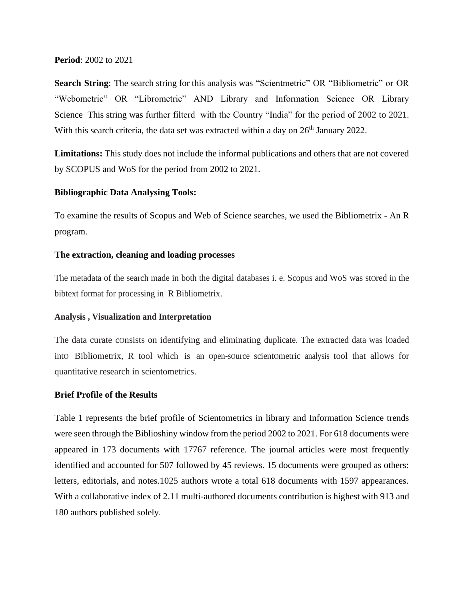# **Period**: 2002 to 2021

**Search String**: The search string for this analysis was "Scientmetric" OR "Bibliometric" or OR "Webometric" OR "Librometric" AND Library and Information Science OR Library Science This string was further filterd with the Country "India" for the period of 2002 to 2021. With this search criteria, the data set was extracted within a day on 26<sup>th</sup> January 2022.

**Limitations:** This study does not include the informal publications and others that are not covered by SCOPUS and WoS for the period from 2002 to 2021.

# **Bibliographic Data Analysing Tools:**

To examine the results of Scopus and Web of Science searches, we used the Bibliometrix - An R program.

# **The extraction, cleaning and loading processes**

The metadata of the search made in both the digital databases i. e. Scopus and WoS was stored in the bibtext format for processing in R Bibliometrix.

# **Analysis , Visualization and Interpretation**

The data curate cOnsists on identifying and eliminating duplicate. The extracted data was lOaded intO Bibliometrix, R tool which is an Open-sOurce scientOmetric analysis tool that allows for quantitative research in scientometrics.

# **Brief Profile of the Results**

Table 1 represents the brief profile of Scientometrics in library and Information Science trends were seen through the Biblioshiny window from the period 2002 to 2021. For 618 documents were appeared in 173 documents with 17767 reference. The journal articles were most frequently identified and accounted for 507 followed by 45 reviews. 15 documents were grouped as others: letters, editorials, and notes.1025 authors wrote a total 618 documents with 1597 appearances. With a collaborative index of 2.11 multi-authored documents contribution is highest with 913 and 180 authors published solely.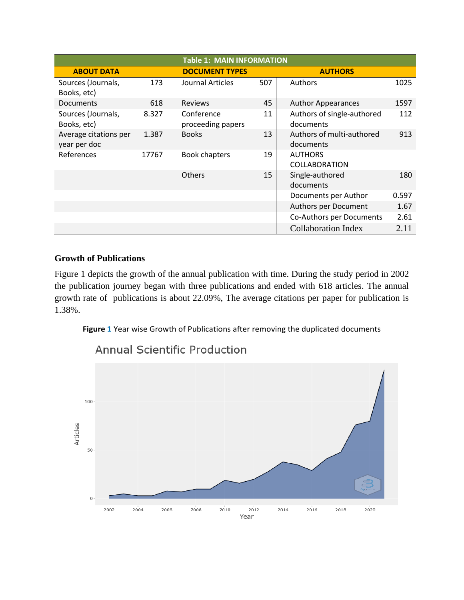| <b>Table 1: MAIN INFORMATION</b>      |       |                                 |     |                                         |       |  |  |  |  |  |
|---------------------------------------|-------|---------------------------------|-----|-----------------------------------------|-------|--|--|--|--|--|
| <b>ABOUT DATA</b>                     |       |                                 |     | <b>AUTHORS</b>                          |       |  |  |  |  |  |
| Sources (Journals,<br>Books, etc)     | 173   | Journal Articles                | 507 | Authors                                 | 1025  |  |  |  |  |  |
| <b>Documents</b>                      | 618   | <b>Reviews</b>                  | 45  | <b>Author Appearances</b>               | 1597  |  |  |  |  |  |
| Sources (Journals,<br>Books, etc)     | 8.327 | Conference<br>proceeding papers | 11  | Authors of single-authored<br>documents | 112   |  |  |  |  |  |
| Average citations per<br>year per doc | 1.387 | <b>Books</b>                    | 13  | Authors of multi-authored<br>documents  | 913   |  |  |  |  |  |
| References                            | 17767 | <b>Book chapters</b>            | 19  | <b>AUTHORS</b><br><b>COLLABORATION</b>  |       |  |  |  |  |  |
|                                       |       | <b>Others</b>                   | 15  | Single-authored<br>documents            | 180   |  |  |  |  |  |
|                                       |       |                                 |     | Documents per Author                    | 0.597 |  |  |  |  |  |
|                                       |       |                                 |     | Authors per Document                    | 1.67  |  |  |  |  |  |
|                                       |       |                                 |     | Co-Authors per Documents                | 2.61  |  |  |  |  |  |
|                                       |       |                                 |     | <b>Collaboration Index</b>              | 2.11  |  |  |  |  |  |

# **Growth of Publications**

Figure 1 depicts the growth of the annual publication with time. During the study period in 2002 the publication journey began with three publications and ended with 618 articles. The annual growth rate of publications is about 22.09%, The average citations per paper for publication is 1.38%.

**Figure 1** Year wise Growth of Publications after removing the duplicated documents



**Annual Scientific Production**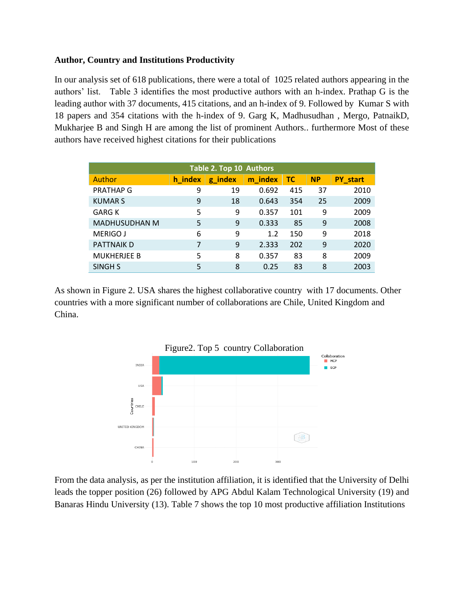# **Author, Country and Institutions Productivity**

In our analysis set of 618 publications, there were a total of 1025 related authors appearing in the authors' list. Table 3 identifies the most productive authors with an h-index. Prathap G is the leading author with 37 documents, 415 citations, and an h-index of 9. Followed by Kumar S with 18 papers and 354 citations with the h-index of 9. Garg K, Madhusudhan , Mergo, PatnaikD, Mukharjee B and Singh H are among the list of prominent Authors.. furthermore Most of these authors have received highest citations for their publications

| Table 2. Top 10 Authors |         |         |         |     |           |                 |  |  |  |
|-------------------------|---------|---------|---------|-----|-----------|-----------------|--|--|--|
| Author                  | h index | g_index | m index | тс  | <b>NP</b> | <b>PY</b> start |  |  |  |
| <b>PRATHAP G</b>        | 9       | 19      | 0.692   | 415 | 37        | 2010            |  |  |  |
| <b>KUMARS</b>           | 9       | 18      | 0.643   | 354 | 25        | 2009            |  |  |  |
| <b>GARG K</b>           | 5       | 9       | 0.357   | 101 | 9         | 2009            |  |  |  |
| <b>MADHUSUDHAN M</b>    | 5       | 9       | 0.333   | 85  | 9         | 2008            |  |  |  |
| <b>MERIGO J</b>         | 6       | 9       | 1.2     | 150 | 9         | 2018            |  |  |  |
| <b>PATTNAIK D</b>       | 7       | 9       | 2.333   | 202 | 9         | 2020            |  |  |  |
| <b>MUKHERJEE B</b>      | 5       | 8       | 0.357   | 83  | 8         | 2009            |  |  |  |
| SINGH S                 | 5       | 8       | 0.25    | 83  | 8         | 2003            |  |  |  |

As shown in Figure 2. USA shares the highest collaborative country with 17 documents. Other countries with a more significant number of collaborations are Chile, United Kingdom and China.



From the data analysis, as per the institution affiliation, it is identified that the University of Delhi leads the topper position (26) followed by APG Abdul Kalam Technological University (19) and Banaras Hindu University (13). Table 7 shows the top 10 most productive affiliation Institutions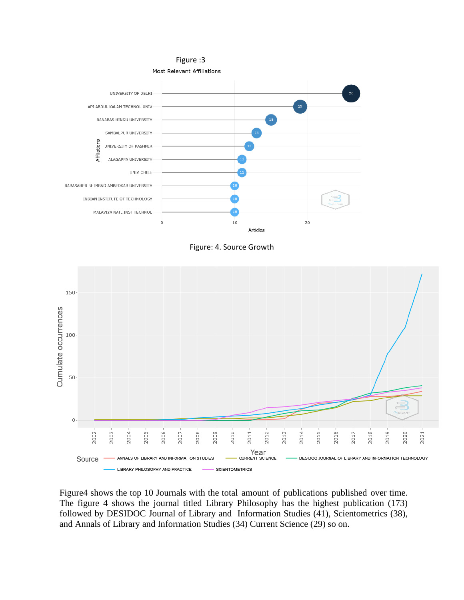





Figure4 shows the top 10 Journals with the total amount of publications published over time. The figure 4 shows the journal titled Library Philosophy has the highest publication (173) followed by DESIDOC Journal of Library and Information Studies (41), Scientometrics (38), and Annals of Library and Information Studies (34) Current Science (29) so on.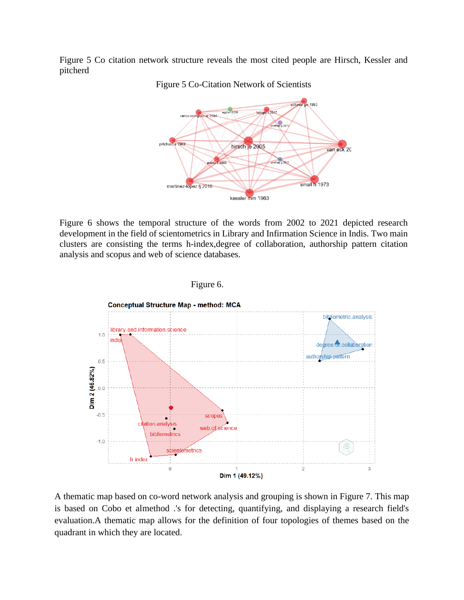Figure 5 Co citation network structure reveals the most cited people are Hirsch, Kessler and pitcherd



Figure 5 Co-Citation Network of Scientists

Figure 6 shows the temporal structure of the words from 2002 to 2021 depicted research development in the field of scientometrics in Library and Infirmation Science in Indis. Two main clusters are consisting the terms h-index,degree of collaboration, authorship pattern citation analysis and scopus and web of science databases.



Figure 6.

A thematic map based on co-word network analysis and grouping is shown in Figure 7. This map is based on Cobo et almethod .'s for detecting, quantifying, and displaying a research field's evaluation.A thematic map allows for the definition of four topologies of themes based on the quadrant in which they are located.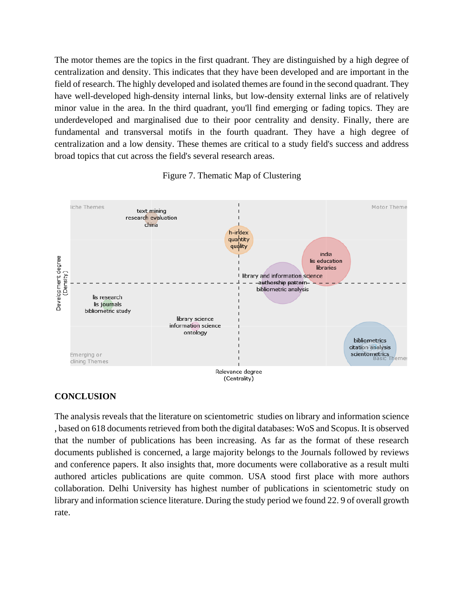The motor themes are the topics in the first quadrant. They are distinguished by a high degree of centralization and density. This indicates that they have been developed and are important in the field of research. The highly developed and isolated themes are found in the second quadrant. They have well-developed high-density internal links, but low-density external links are of relatively minor value in the area. In the third quadrant, you'll find emerging or fading topics. They are underdeveloped and marginalised due to their poor centrality and density. Finally, there are fundamental and transversal motifs in the fourth quadrant. They have a high degree of centralization and a low density. These themes are critical to a study field's success and address broad topics that cut across the field's several research areas.





# **CONCLUSION**

The analysis reveals that the literature on scientometric studies on library and information science , based on 618 documents retrieved from both the digital databases: WoS and Scopus. It is observed that the number of publications has been increasing. As far as the format of these research documents published is concerned, a large majority belongs to the Journals followed by reviews and conference papers. It also insights that, more documents were collaborative as a result multi authored articles publications are quite common. USA stood first place with more authors collaboration. Delhi University has highest number of publications in scientometric study on library and information science literature. During the study period we found 22. 9 of overall growth rate.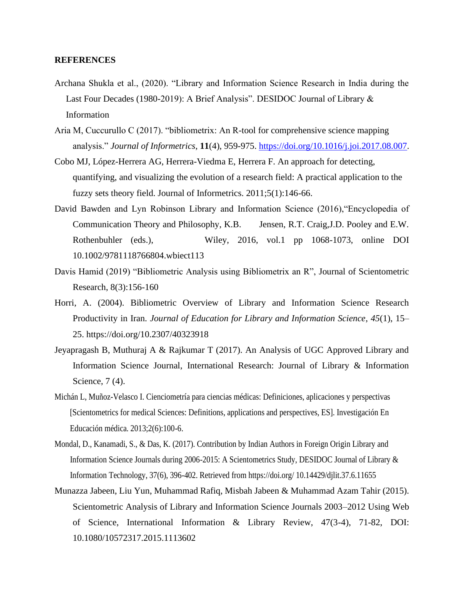# **REFERENCES**

- Archana Shukla et al., (2020). "Library and Information Science Research in India during the Last Four Decades (1980-2019): A Brief Analysis". DESIDOC Journal of Library & Information
- Aria M, Cuccurullo C (2017). "bibliometrix: An R-tool for comprehensive science mapping analysis." *Journal of Informetrics*, **11**(4), 959-975. [https://doi.org/10.1016/j.joi.2017.08.007.](https://doi.org/10.1016/j.joi.2017.08.007)
- Cobo MJ, López-Herrera AG, Herrera-Viedma E, Herrera F. An approach for detecting, quantifying, and visualizing the evolution of a research field: A practical application to the fuzzy sets theory field. Journal of Informetrics. 2011;5(1):146-66.
- David Bawden and Lyn Robinson Library and Information Science (2016),"Encyclopedia of Communication Theory and Philosophy, K.B. Jensen, R.T. Craig,J.D. Pooley and E.W. Rothenbuhler (eds.), Wiley, 2016, vol.1 pp 1068-1073, online DOI 10.1002/9781118766804.wbiect113
- Davis Hamid (2019) "Bibliometric Analysis using Bibliometrix an R", Journal of Scientometric Research, 8(3):156-160
- Horri, A. (2004). Bibliometric Overview of Library and Information Science Research Productivity in Iran. *Journal of Education for Library and Information Science*, *45*(1), 15– 25. https://doi.org/10.2307/40323918
- Jeyapragash B, Muthuraj A & Rajkumar T (2017). An Analysis of UGC Approved Library and Information Science Journal, International Research: Journal of Library & Information Science, 7 (4).
- Michán L, Muñoz-Velasco I. Cienciometría para ciencias médicas: Definiciones, aplicaciones y perspectivas [Scientometrics for medical Sciences: Definitions, applications and perspectives, ES]. Investigación En Educación médica. 2013;2(6):100-6.
- Mondal, D., Kanamadi, S., & Das, K. (2017). Contribution by Indian Authors in Foreign Origin Library and Information Science Journals during 2006-2015: A Scientometrics Study, DESIDOC Journal of Library & Information Technology, 37(6), 396-402. Retrieved from https://doi.org/ 10.14429/djlit.37.6.11655
- Munazza Jabeen, Liu Yun, Muhammad Rafiq, Misbah Jabeen & Muhammad Azam Tahir (2015). Scientometric Analysis of Library and Information Science Journals 2003–2012 Using Web of Science, International Information & Library Review, 47(3-4), 71-82, DOI: 10.1080/10572317.2015.1113602